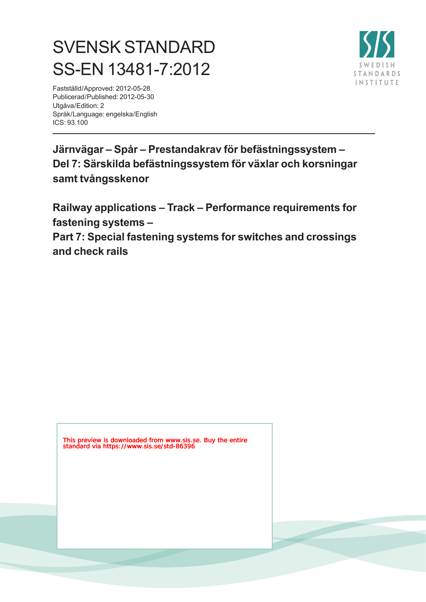# SVENSK STANDARD SS-EN 13481-7:2012

**STANDARDS INSTITUTE** 

Fastställd/Approved: 2012-05-28 Publicerad/Published: 2012-05-30 Utgåva/Edition: 2 Språk/Language: engelska/English ICS: 93.100

**Järnvägar – Spår – Prestandakrav för befästningssystem – Del 7: Särskilda befästningssystem för växlar och korsningar samt tvångsskenor**

**Railway applications – Track – Performance requirements for fastening systems –**

**Part 7: Special fastening systems for switches and crossings and check rails**

This preview is downloaded from www.sis.se. Buy the entire standard via https://www.sis.se/std-86396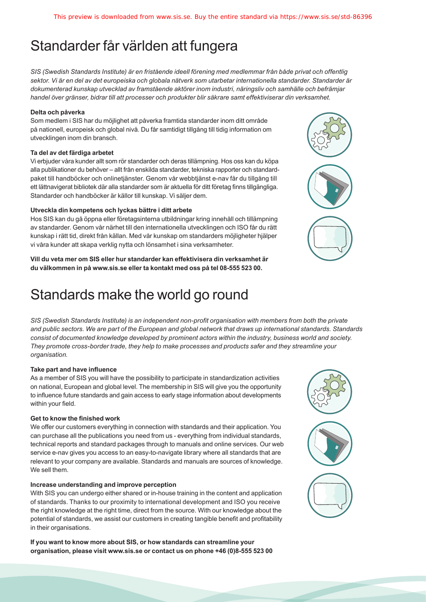# Standarder får världen att fungera

*SIS (Swedish Standards Institute) är en fristående ideell förening med medlemmar från både privat och offentlig sektor. Vi är en del av det europeiska och globala nätverk som utarbetar internationella standarder. Standarder är dokumenterad kunskap utvecklad av framstående aktörer inom industri, näringsliv och samhälle och befrämjar handel över gränser, bidrar till att processer och produkter blir säkrare samt effektiviserar din verksamhet.* 

#### **Delta och påverka**

Som medlem i SIS har du möjlighet att påverka framtida standarder inom ditt område på nationell, europeisk och global nivå. Du får samtidigt tillgång till tidig information om utvecklingen inom din bransch.

### **Ta del av det färdiga arbetet**

Vi erbjuder våra kunder allt som rör standarder och deras tillämpning. Hos oss kan du köpa alla publikationer du behöver – allt från enskilda standarder, tekniska rapporter och standardpaket till handböcker och onlinetjänster. Genom vår webbtjänst e-nav får du tillgång till ett lättnavigerat bibliotek där alla standarder som är aktuella för ditt företag finns tillgängliga. Standarder och handböcker är källor till kunskap. Vi säljer dem.

### **Utveckla din kompetens och lyckas bättre i ditt arbete**

Hos SIS kan du gå öppna eller företagsinterna utbildningar kring innehåll och tillämpning av standarder. Genom vår närhet till den internationella utvecklingen och ISO får du rätt kunskap i rätt tid, direkt från källan. Med vår kunskap om standarders möjligheter hjälper vi våra kunder att skapa verklig nytta och lönsamhet i sina verksamheter.

**Vill du veta mer om SIS eller hur standarder kan effektivisera din verksamhet är du välkommen in på www.sis.se eller ta kontakt med oss på tel 08-555 523 00.**

# Standards make the world go round

*SIS (Swedish Standards Institute) is an independent non-profit organisation with members from both the private and public sectors. We are part of the European and global network that draws up international standards. Standards consist of documented knowledge developed by prominent actors within the industry, business world and society. They promote cross-border trade, they help to make processes and products safer and they streamline your organisation.*

### **Take part and have influence**

As a member of SIS you will have the possibility to participate in standardization activities on national, European and global level. The membership in SIS will give you the opportunity to influence future standards and gain access to early stage information about developments within your field.

#### **Get to know the finished work**

We offer our customers everything in connection with standards and their application. You can purchase all the publications you need from us - everything from individual standards, technical reports and standard packages through to manuals and online services. Our web service e-nav gives you access to an easy-to-navigate library where all standards that are relevant to your company are available. Standards and manuals are sources of knowledge. We sell them.

#### **Increase understanding and improve perception**

With SIS you can undergo either shared or in-house training in the content and application of standards. Thanks to our proximity to international development and ISO you receive the right knowledge at the right time, direct from the source. With our knowledge about the potential of standards, we assist our customers in creating tangible benefit and profitability in their organisations.

**If you want to know more about SIS, or how standards can streamline your organisation, please visit www.sis.se or contact us on phone +46 (0)8-555 523 00**



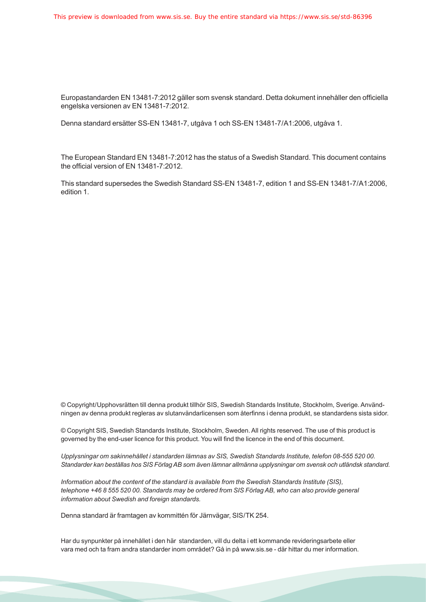Europastandarden EN 13481-7:2012 gäller som svensk standard. Detta dokument innehåller den officiella engelska versionen av EN 13481-7:2012.

Denna standard ersätter SS-EN 13481-7, utgåva 1 och SS-EN 13481-7/A1:2006, utgåva 1.

The European Standard EN 13481-7:2012 has the status of a Swedish Standard. This document contains the official version of EN 13481-7:2012.

This standard supersedes the Swedish Standard SS-EN 13481-7, edition 1 and SS-EN 13481-7/A1:2006, edition 1.

© Copyright/Upphovsrätten till denna produkt tillhör SIS, Swedish Standards Institute, Stockholm, Sverige. Användningen av denna produkt regleras av slutanvändarlicensen som återfinns i denna produkt, se standardens sista sidor.

© Copyright SIS, Swedish Standards Institute, Stockholm, Sweden. All rights reserved. The use of this product is governed by the end-user licence for this product. You will find the licence in the end of this document.

*Upplysningar om sakinnehållet i standarden lämnas av SIS, Swedish Standards Institute, telefon 08-555 520 00. Standarder kan beställas hos SIS Förlag AB som även lämnar allmänna upplysningar om svensk och utländsk standard.*

*Information about the content of the standard is available from the Swedish Standards Institute (SIS), telephone +46 8 555 520 00. Standards may be ordered from SIS Förlag AB, who can also provide general information about Swedish and foreign standards.*

Denna standard är framtagen av kommittén för Järnvägar, SIS/TK 254.

Har du synpunkter på innehållet i den här standarden, vill du delta i ett kommande revideringsarbete eller vara med och ta fram andra standarder inom området? Gå in på www.sis.se - där hittar du mer information.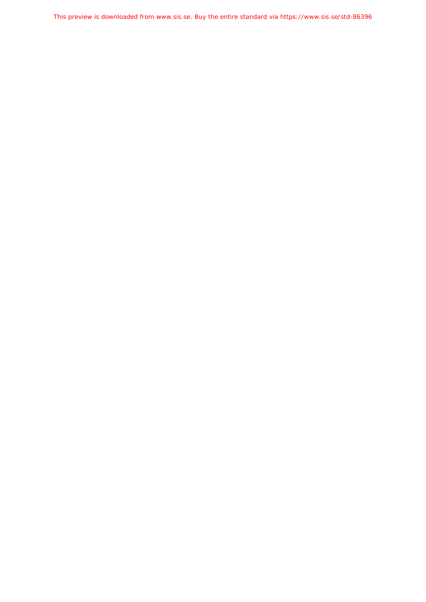This preview is downloaded from www.sis.se. Buy the entire standard via https://www.sis.se/std-86396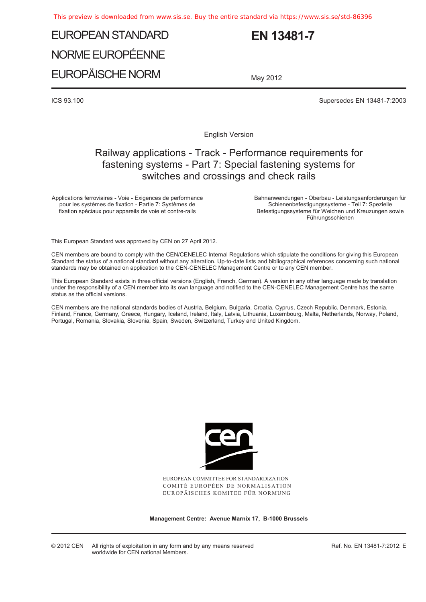## EUROPEAN STANDARD NORME EUROPÉENNE EUROPÄISCHE NORM

### **EN 13481-7**

May 2012

ICS 93.100 Supersedes EN 13481-7:2003

English Version

### Railway applications - Track - Performance requirements for fastening systems - Part 7: Special fastening systems for switches and crossings and check rails

Applications ferroviaires - Voie - Exigences de performance pour les systèmes de fixation - Partie 7: Systèmes de fixation spéciaux pour appareils de voie et contre-rails

 Bahnanwendungen - Oberbau - Leistungsanforderungen für Schienenbefestigungssysteme - Teil 7: Spezielle Befestigungssysteme für Weichen und Kreuzungen sowie Führungsschienen

This European Standard was approved by CEN on 27 April 2012.

CEN members are bound to comply with the CEN/CENELEC Internal Regulations which stipulate the conditions for giving this European Standard the status of a national standard without any alteration. Up-to-date lists and bibliographical references concerning such national standards may be obtained on application to the CEN-CENELEC Management Centre or to any CEN member.

This European Standard exists in three official versions (English, French, German). A version in any other language made by translation under the responsibility of a CEN member into its own language and notified to the CEN-CENELEC Management Centre has the same status as the official versions.

CEN members are the national standards bodies of Austria, Belgium, Bulgaria, Croatia, Cyprus, Czech Republic, Denmark, Estonia, Finland, France, Germany, Greece, Hungary, Iceland, Ireland, Italy, Latvia, Lithuania, Luxembourg, Malta, Netherlands, Norway, Poland, Portugal, Romania, Slovakia, Slovenia, Spain, Sweden, Switzerland, Turkey and United Kingdom.



EUROPEAN COMMITTEE FOR STANDARDIZATION COMITÉ EUROPÉEN DE NORMALISATION EUROPÄISCHES KOMITEE FÜR NORMUNG

**Management Centre: Avenue Marnix 17, B-1000 Brussels**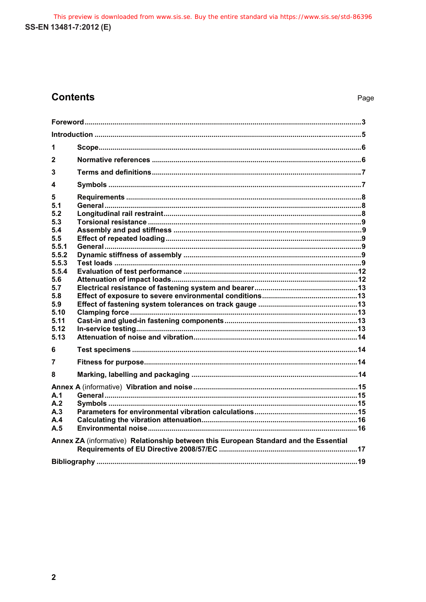This preview is downloaded from www.sis.se. Buy the entire standard via https://www.sis.se/std-86396 SS-EN 13481-7:2012 (E)

### **Contents**

Page

| 1                                                                                                            |  |  |  |  |
|--------------------------------------------------------------------------------------------------------------|--|--|--|--|
| $\mathbf{2}$                                                                                                 |  |  |  |  |
| 3                                                                                                            |  |  |  |  |
| 4                                                                                                            |  |  |  |  |
| 5<br>5.1<br>5.2<br>5.3<br>5.4<br>5.5<br>5.5.1<br>5.5.2<br>5.5.3<br>5.5.4<br>5.6<br>5.7<br>5.8<br>5.9<br>5.10 |  |  |  |  |
| 5.11<br>5.12                                                                                                 |  |  |  |  |
| 5.13                                                                                                         |  |  |  |  |
| 6<br>7                                                                                                       |  |  |  |  |
| 8                                                                                                            |  |  |  |  |
| A <sub>1</sub><br>A.2<br>A.3<br>A.4<br>A.5                                                                   |  |  |  |  |
| Annex ZA (informative) Relationship between this European Standard and the Essential                         |  |  |  |  |
|                                                                                                              |  |  |  |  |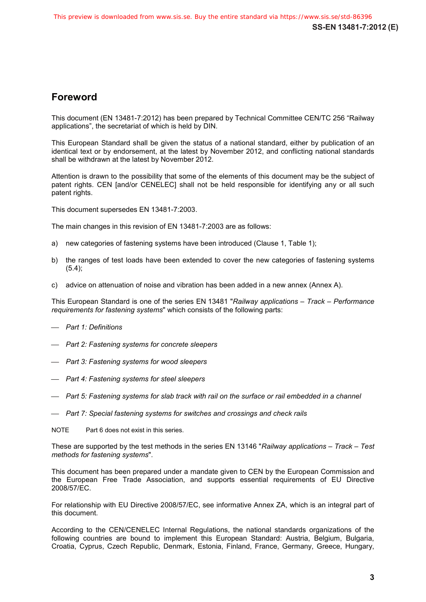### **Foreword**

This document (EN 13481-7:2012) has been prepared by Technical Committee CEN/TC 256 "Railway applications", the secretariat of which is held by DIN.

This European Standard shall be given the status of a national standard, either by publication of an identical text or by endorsement, at the latest by November 2012, and conflicting national standards shall be withdrawn at the latest by November 2012.

Attention is drawn to the possibility that some of the elements of this document may be the subject of patent rights. CEN [and/or CENELEC] shall not be held responsible for identifying any or all such patent rights.

This document supersedes EN 13481-7:2003.

The main changes in this revision of EN 13481-7:2003 are as follows:

- a) new categories of fastening systems have been introduced (Clause 1, Table 1);
- b) the ranges of test loads have been extended to cover the new categories of fastening systems (5.4);
- c) advice on attenuation of noise and vibration has been added in a new annex (Annex A).

This European Standard is one of the series EN 13481 "*Railway applications – Track – Performance requirements for fastening systems*" which consists of the following parts:

- *Part 1: Definitions*
- *Part 2: Fastening systems for concrete sleepers*
- *Part 3: Fastening systems for wood sleepers*
- *Part 4: Fastening systems for steel sleepers*
- *Part 5: Fastening systems for slab track with rail on the surface or rail embedded in a channel*
- *Part 7: Special fastening systems for switches and crossings and check rails*

NOTE Part 6 does not exist in this series.

These are supported by the test methods in the series EN 13146 "*Railway applications – Track – Test methods for fastening systems*".

This document has been prepared under a mandate given to CEN by the European Commission and the European Free Trade Association, and supports essential requirements of EU Directive 2008/57/EC.

For relationship with EU Directive 2008/57/EC, see informative Annex ZA, which is an integral part of this document.

According to the CEN/CENELEC Internal Regulations, the national standards organizations of the following countries are bound to implement this European Standard: Austria, Belgium, Bulgaria, Croatia, Cyprus, Czech Republic, Denmark, Estonia, Finland, France, Germany, Greece, Hungary,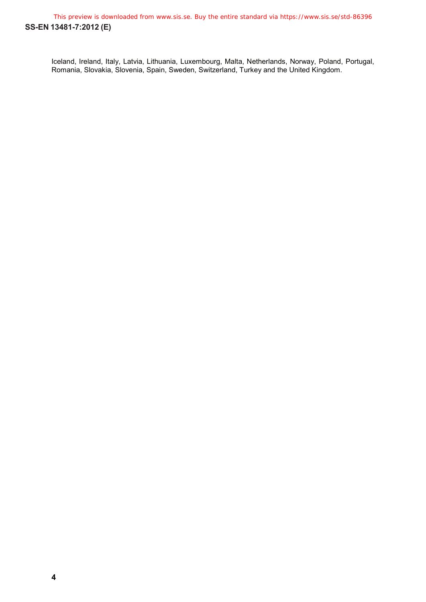Iceland, Ireland, Italy, Latvia, Lithuania, Luxembourg, Malta, Netherlands, Norway, Poland, Portugal, Romania, Slovakia, Slovenia, Spain, Sweden, Switzerland, Turkey and the United Kingdom.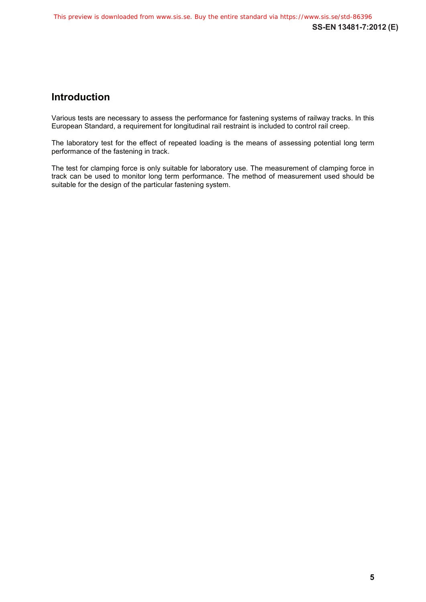### **Introduction**

Various tests are necessary to assess the performance for fastening systems of railway tracks. In this European Standard, a requirement for longitudinal rail restraint is included to control rail creep.

The laboratory test for the effect of repeated loading is the means of assessing potential long term performance of the fastening in track.

The test for clamping force is only suitable for laboratory use. The measurement of clamping force in track can be used to monitor long term performance. The method of measurement used should be suitable for the design of the particular fastening system.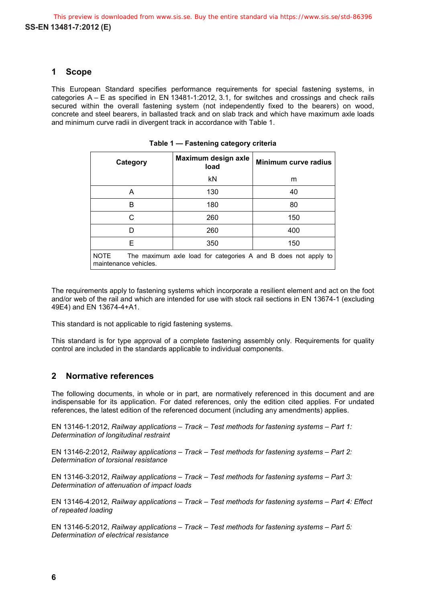### **1 Scope**

This European Standard specifies performance requirements for special fastening systems, in categories A – E as specified in EN 13481-1:2012, 3.1, for switches and crossings and check rails secured within the overall fastening system (not independently fixed to the bearers) on wood, concrete and steel bearers, in ballasted track and on slab track and which have maximum axle loads and minimum curve radii in divergent track in accordance with Table 1.

| Category                                                                                               | Maximum design axle<br>load | Minimum curve radius |  |  |
|--------------------------------------------------------------------------------------------------------|-----------------------------|----------------------|--|--|
|                                                                                                        | kN                          | m                    |  |  |
| A                                                                                                      | 130                         | 40                   |  |  |
| в                                                                                                      | 180                         | 80                   |  |  |
| C                                                                                                      | 260                         | 150                  |  |  |
|                                                                                                        | 260                         | 400                  |  |  |
| E                                                                                                      | 350                         | 150                  |  |  |
| <b>NOTE</b><br>The maximum axle load for categories A and B does not apply to<br>maintenance vehicles. |                             |                      |  |  |

**Table 1 — Fastening category criteria** 

The requirements apply to fastening systems which incorporate a resilient element and act on the foot and/or web of the rail and which are intended for use with stock rail sections in EN 13674-1 (excluding 49E4) and EN 13674-4+A1.

This standard is not applicable to rigid fastening systems.

This standard is for type approval of a complete fastening assembly only. Requirements for quality control are included in the standards applicable to individual components.

### **2 Normative references**

The following documents, in whole or in part, are normatively referenced in this document and are indispensable for its application. For dated references, only the edition cited applies. For undated references, the latest edition of the referenced document (including any amendments) applies.

EN 13146-1:2012, *Railway applications* – *Track* – *Test methods for fastening systems* – *Part 1: Determination of longitudinal restraint*

EN 13146-2:2012, *Railway applications* – *Track* – *Test methods for fastening systems* – *Part 2: Determination of torsional resistance* 

EN 13146-3:2012, *Railway applications* – *Track* – *Test methods for fastening systems* – *Part 3: Determination of attenuation of impact loads* 

EN 13146-4:2012, *Railway applications* – *Track* – *Test methods for fastening systems* – *Part 4: Effect of repeated loading* 

EN 13146-5:2012, *Railway applications* – *Track* – *Test methods for fastening systems* – *Part 5: Determination of electrical resistance*